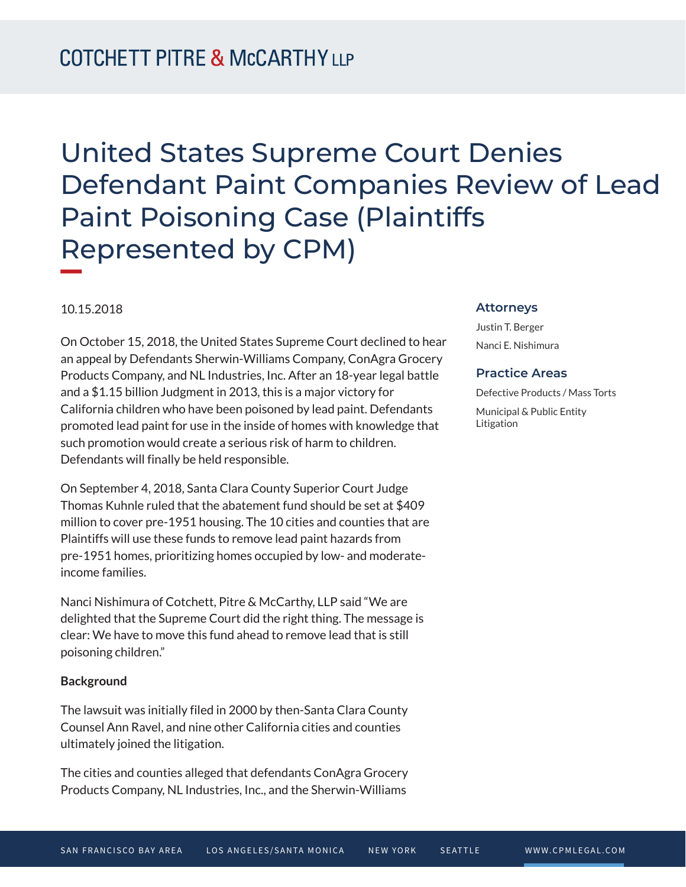# United States Supreme Court Denies Defendant Paint Companies Review of Lead Paint Poisoning Case (Plaintiffs Represented by CPM)

#### 10.15.2018

**William Company** 

On October 15, 2018, the United States Supreme Court declined to hear an appeal by Defendants Sherwin-Williams Company, ConAgra Grocery Products Company, and NL Industries, Inc. After an 18-year legal battle and a \$1.15 billion Judgment in 2013, this is a major victory for California children who have been poisoned by lead paint. Defendants promoted lead paint for use in the inside of homes with knowledge that such promotion would create a serious risk of harm to children. Defendants will finally be held responsible.

On September 4, 2018, Santa Clara County Superior Court Judge Thomas Kuhnle ruled that the abatement fund should be set at \$409 million to cover pre-1951 housing. The 10 cities and counties that are Plaintiffs will use these funds to remove lead paint hazards from pre-1951 homes, prioritizing homes occupied by low- and moderateincome families.

Nanci Nishimura of Cotchett, Pitre & McCarthy, LLP said "We are delighted that the Supreme Court did the right thing. The message is clear: We have to move this fund ahead to remove lead that is still poisoning children."

#### **Background**

The lawsuit was initially filed in 2000 by then-Santa Clara County Counsel Ann Ravel, and nine other California cities and counties ultimately joined the litigation.

The cities and counties alleged that defendants ConAgra Grocery Products Company, NL Industries, Inc., and the Sherwin-Williams

#### **Attorneys**

Justin T. Berger Nanci E. Nishimura

#### **Practice Areas**

Defective Products / Mass Torts Municipal & Public Entity Litigation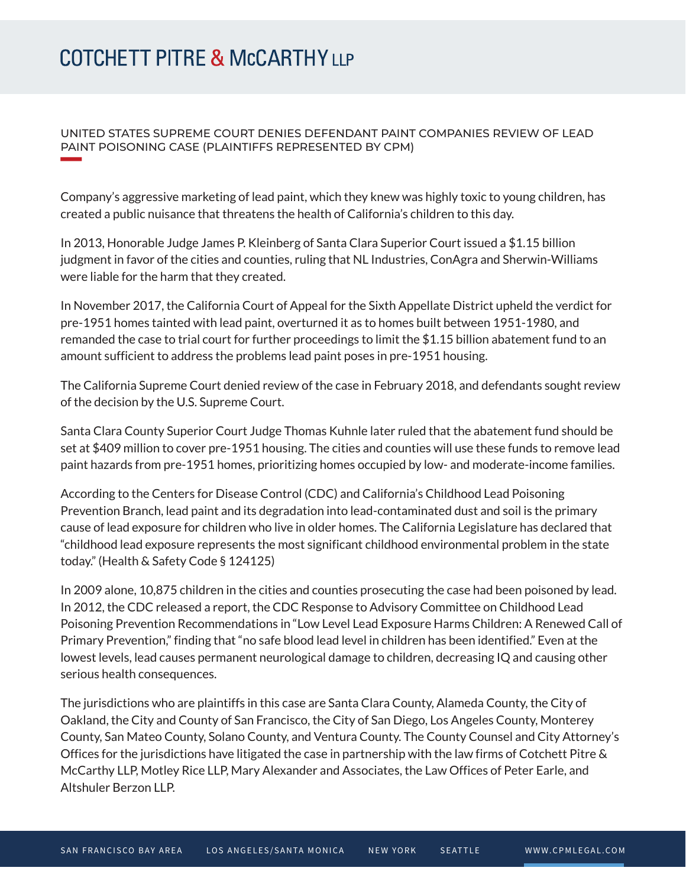### UNITED STATES SUPREME COURT DENIES DEFENDANT PAINT COMPANIES REVIEW OF LEAD PAINT POISONING CASE (PLAINTIFFS REPRESENTED BY CPM)

Company's aggressive marketing of lead paint, which they knew was highly toxic to young children, has created a public nuisance that threatens the health of California's children to this day.

In 2013, Honorable Judge James P. Kleinberg of Santa Clara Superior Court issued a \$1.15 billion judgment in favor of the cities and counties, ruling that NL Industries, ConAgra and Sherwin-Williams were liable for the harm that they created.

In November 2017, the California Court of Appeal for the Sixth Appellate District upheld the verdict for pre-1951 homes tainted with lead paint, overturned it as to homes built between 1951-1980, and remanded the case to trial court for further proceedings to limit the \$1.15 billion abatement fund to an amount sufficient to address the problems lead paint poses in pre-1951 housing.

The California Supreme Court denied review of the case in February 2018, and defendants sought review of the decision by the U.S. Supreme Court.

Santa Clara County Superior Court Judge Thomas Kuhnle later ruled that the abatement fund should be set at \$409 million to cover pre-1951 housing. The cities and counties will use these funds to remove lead paint hazards from pre-1951 homes, prioritizing homes occupied by low- and moderate-income families.

According to the Centers for Disease Control (CDC) and California's Childhood Lead Poisoning Prevention Branch, lead paint and its degradation into lead-contaminated dust and soil is the primary cause of lead exposure for children who live in older homes. The California Legislature has declared that "childhood lead exposure represents the most significant childhood environmental problem in the state today." (Health & Safety Code § 124125)

In 2009 alone, 10,875 children in the cities and counties prosecuting the case had been poisoned by lead. In 2012, the CDC released a report, the CDC Response to Advisory Committee on Childhood Lead Poisoning Prevention Recommendations in "Low Level Lead Exposure Harms Children: A Renewed Call of Primary Prevention," finding that "no safe blood lead level in children has been identified." Even at the lowest levels, lead causes permanent neurological damage to children, decreasing IQ and causing other serious health consequences.

The jurisdictions who are plaintiffs in this case are Santa Clara County, Alameda County, the City of Oakland, the City and County of San Francisco, the City of San Diego, Los Angeles County, Monterey County, San Mateo County, Solano County, and Ventura County. The County Counsel and City Attorney's Offices for the jurisdictions have litigated the case in partnership with the law firms of Cotchett Pitre & McCarthy LLP, Motley Rice LLP, Mary Alexander and Associates, the Law Offices of Peter Earle, and Altshuler Berzon LLP.